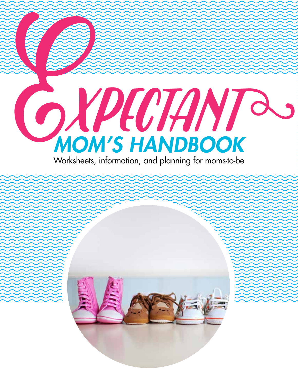

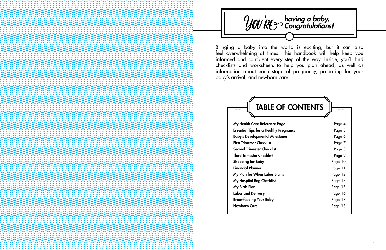

Bringing a baby into the world is exciting, but it can also feel overwhelming at times. This handbook will help keep you informed and confident every step of the way. Inside, you'll find checklists and worksheets to help you plan ahead, as well as information about each stage of pregnancy, preparing for your baby's arrival, and newborn care.

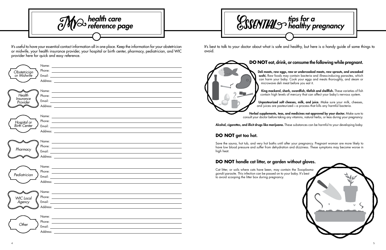It's useful to have your essential contact information all in one place. Keep the information for your obstetrician or midwife, your health insurance provider, your hospital or birth center, pharmacy, pediatrician, and WIC provider here for quick and easy reference.

| Obstetrician<br>or Midwife                           | Phone: <u>Alexander Alexander Alexander Alexander Alexander Alexander Alexander Alexander Alexander Alexander Alexander Alexander Alexander Alexander Alexander Alexander Alexander Alexander Alexander Alexander Alexander Alex</u>                                   |  |
|------------------------------------------------------|------------------------------------------------------------------------------------------------------------------------------------------------------------------------------------------------------------------------------------------------------------------------|--|
| Health<br><i><u><b>Insurance</b></u></i><br>Provider | Phone: Note: 2008. The Contract of the Contract of the Contract of the Contract of the Contract of the Contract of the Contract of the Contract of the Contract of the Contract of the Contract of the Contract of the Contrac                                         |  |
| Hospital or<br>Birth Center                          | Name: Name: Name: Name: Name: Name: Name: Name: Name: Name: Name: Name: Name: Name: Name: Name: Name: Name: Name: Name: Name: Name: Name: Name: Name: Name: Name: Name: Name: Name: Name: Name: Name: Name: Name: Name: Name:                                          |  |
| Pharmacy                                             | Name: <u>example and a series of the series of the series of the series of the series of the series of the series of the series of the series of the series of the series of the series of the series of the series of the serie</u>                                   |  |
| Pediatrician                                         |                                                                                                                                                                                                                                                                        |  |
| <b>WIC</b> Local<br>Agency                           | Name: <u>example and a series of the series of the series of the series of the series of the series of the series of the series of the series of the series of the series of the series of the series of the series of the serie</u><br>Email:<br>Address: ___________ |  |
| Other                                                | Phone:<br>Email: Email: Album and Album and Album and Album and Album and Album and Album and Album and Album and Album<br>Address:                                                                                                                                    |  |

It's best to talk to your doctor about what is safe and healthy, but here is a handy guide of some things to avoid.



Alcohol, cigarettes, and illicit drugs like marijuana. These substances can be harmful to your developing baby.

### **DO NOT** handle cat litter, or garden without gloves.

Cat litter, or soils where cats have been, may contain the *Toxoplasma gondii* parasite. This infection can be passed on to your baby. It's best to avoid scooping the litter box during pregnancy.

Unpasteurized soft cheeses, milk, and juice. Make sure your milk, cheeses, and juices are pasteurized—a process that kills any harmful bacteria.

### **DO NOT** get too hot.

Save the sauna, hot tub, and very hot baths until after your pregnancy. Pregnant woman are more likely to have low blood pressure and suffer from dehydration and dizziness. These symptoms may become worse in high heat.

## **DO NOT** eat, drink, or consume the following while pregnant.

Deli meats, raw eggs, raw or undercooked meats, raw sprouts, and uncooked sushi. Raw foods may contain bacteria and illness-inducing parasites, which can harm your baby. Cook your eggs and meats thoroughly, and steam or microwave deli meat before you eat it.

King mackerel, shark, swordfish, tilefish and shellfish. These varieties of fish contain high levels of mercury that can affect your baby's nervous system.

Herbal supplements, teas, and medicines not approved by your doctor. Make sure to consult your doctor before taking any vitamins, natural herbs, or teas during your pregnancy.





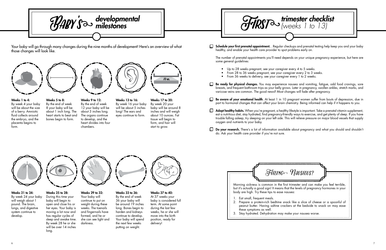$\Box$  Schedule your first prenatal appointment. . Regular checkups and prenatal testing help keep you and your baby

Your baby will go through many changes during the nine months of development! Here's an overview of what those changes will look like.



Weeks 1 to 4: By week 4 your baby will be about the size of a berry. Amniotic fluid collects around the embryo, and the placenta begins to

form.

Weeks 21 to 24: By week 24 your baby will weigh about 1 pound. The brain, lungs, and digestive system continue to develop.



to develop, and the heart divides into four

chambers.

Weeks 33 to 36: By the end of week 36 your baby will be around 19 inches long. Bones begin to harden and kidneys continue to develop. Your baby will spend the next few weeks putting on weight.



Weeks 9 to 12: By the end of week 12 your baby will be about 3 inches long. The organs continue Weeks 5 to 8: By the end of week 8 your baby will be about 1 inch long. The heart starts to beat and

> Weeks 29 to 32: Your baby will continue to put on weight during these weeks. The toenails and fingernails have formed, and he or she can see light and darkness.



bones begin to form.



Weeks 25 to 28: During this time your baby will begin to open and close his or her eyes. Your baby is moving a lot now and has regular cycles of sleep and awake time. By week 28 he or she will be over 14 inches long.



Weeks 13 to 16: By week 16 your baby will be about 5 inches long! The ears and eyes continue to form.



Be ready for physical changes. You may experience nausea and vomiting, fatigue, odd food cravings, sore breasts, and frequent bathroom trips as your belly grows. Later in pregnancy, swollen ankles, stretch marks, and

Be aware of your emotional health. At least 1 in 10 pregnant women suffer from bouts of depression, due in part to hormonal changes that can affect your brain chemistry. Being informed can help if it happens to you.

Weeks 17 to 20: By week 20 your baby will be around 8 inches and will weigh about 10 ounces. Fat tissue will begin to form, and hair will start to grow.



Adopt healthy habits. When you're pregnant, a healthy lifestyle is important. Take a prenatal vitamin supplement, eat a nutritious diet, stay hydrated, find pregnancy-friendly ways to exercise, and get plenty of sleep. If you have trouble falling asleep, try sleeping on your left side. This will relieve pressure on major blood vessels that supply

Do your research. There's a lot of information available about pregnancy and what you should and shouldn't

Weeks 37 to 40:

- Up to 28 weeks pregnant, see your caregiver every 4 to 5 weeks.
- From 28 to 36 weeks pregnant, see your caregiver every 2 to 3 weeks.
- From 36 weeks to delivery, see your caregiver every 1 to 2 weeks.
- varicose veins are common. The good news? Most changes will fade after pregnancy.
- 
- oxygen and nutrients to your baby.
- do. Ask your health care provider if you're not sure.



At 37 weeks your baby is considered full term. At some point during the last few weeks, he or she will move into the birth position, ready for delivery!

healthy, and enable your health care provider to spot problems early on.

The number of prenatal appointments you'll need depends on your unique pregnancy experience, but here are some general guidelines:



- 
- 
- 

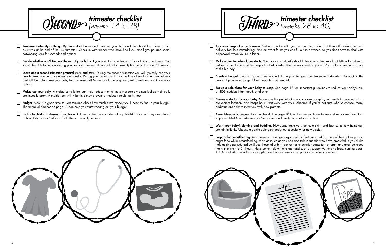

Tour your hospital or birth center. Getting familiar with your surroundings ahead of time will make labor and delivery feel less intimidating. Find out what forms you can fill out in advance, so you don't have to deal with

 $\Box$  Make a plan for when labor starts. Your doctor or midwife should give you a clear set of guidelines for when to call and when to head to the hospital or birth center. Use the worksheet on page 12 to make a plan in advance

Create a budget. Now is a good time to check in on your budget from the second trimester. Go back to the

 $\Box$  Set up a safe place for your baby to sleep. See page 18 for important guidelines to reduce your baby's risk

 $\Box$  Choose a doctor for your baby. Make sure the pediatrician you choose accepts your health insurance, is in a convenient location, and keeps hours that work with your schedule. If you're not sure who to choose, many

**Assemble your baby gear.** Use the checklist on page 10 to make sure you have the necessities covered, and turn

Wash your baby's clothing and bedding. Newborns have very delicate skin, and fabrics in new items can

Prepare for breastfeeding. Read, research, and get organized! To feel prepared for some of the challenges you might face while breastfeeding, read as much as you can and talk to friends who have breastfed. If you'd like help getting started, find out if your hospital or birth center has a lactation consultant on staff, and arrange to see her within the first 24 hours. Have some helpful items on hand such as supportive nursing bras, nursing pads,

- paperwork when you're in labor.
- of the big day.
- financial planner on page 11 and update it as needed.
- of SIDS (sudden infant death syndrome).
- pediatricians offer to interview with new parents.
- to pages 13–14 to make sure you're packed and ready to go at short notice.
- contain irritants. Choose a gentle detergent designed especially for new babies.
- 100% purified lanolin for sore nipples, and frozen peas or gel packs to ease any soreness.
- **Purchase maternity clothing.** By the end of the second trimester, your baby will be almost four times as big as it was at the end of the first trimester! Check in with friends who have had kids, email groups, and social networking sites for secondhand options.
- $\Box$  Decide whether you'll find out the sex of your baby. If you want to know the sex of your baby, good news! You should be able to find out during your second trimester ultrasound, which usually happens at around 20 weeks.
- Learn about second-trimester prenatal visits and tests. During the second trimester you will typically see your health care provider once every four weeks. During your regular visits, you will be offered some prenatal tests and will be able to see your baby in an ultrasound! Make sure to be prepared, ask questions, and know your options.
- Moisturize your belly. A moisturizing lotion can help reduce the itchiness that some women feel as their belly continues to grow. A moisturizer with vitamin E may prevent or reduce stretch marks, too.
- Budget. Now is a good time to start thinking about how much extra money you'll need to find in your budget. The financial planner on page 11 can help you start working out your budget.
- Look into childbirth classes. If you haven't done so already, consider taking childbirth classes. They are offered at hospitals, doctors' offices, and other community venues.



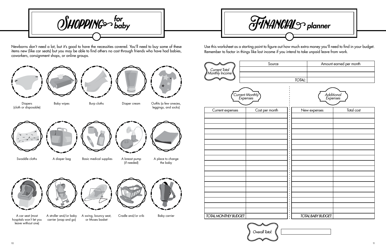Newborns don't need a lot, but it's good to have the necessities covered. You'll need to buy some of these items new (like car seats) but you may be able to find others no cost through friends who have had babies, coworkers, consignment shops, or online groups.

Shopping*for baby*

Diapers (cloth or disposable)





A car seat (most hospitals won't let you leave without one)



Swaddle cloths

Burp cloths



A swing, bouncy seat, or Moses basket

Basic medical supplies

Baby wipes









A stroller and/or baby carrier (snap and go)



A diaper bag

Diaper cream



A breast pump

(if needed)

Cradle and/or crib





leggings, and socks)





A place to change the baby

Use this worksheet as a starting point to figure out how much extra money you'll need to find in your budget. Remember to factor in things like lost income if you intend to take unpaid leave from work.

# Financial*planner*

|                          | Additional<br>Expenses    |            |  |  |  |
|--------------------------|---------------------------|------------|--|--|--|
|                          | New expenses              | Total cost |  |  |  |
| ٠<br>ė<br>٠              |                           |            |  |  |  |
| ٠<br>٠                   |                           |            |  |  |  |
| $\bullet$<br>٠           |                           |            |  |  |  |
| ٠<br>٠<br>٠<br>٠         |                           |            |  |  |  |
| $\bullet$<br>ċ<br>٠      |                           |            |  |  |  |
| ٠<br>٠<br>٠              |                           |            |  |  |  |
| ٠<br>$\bullet$<br>¢      |                           |            |  |  |  |
| ٠<br>٠                   |                           |            |  |  |  |
| ٠<br>٠                   |                           |            |  |  |  |
| $\bullet$<br>٠<br>٠<br>٠ |                           |            |  |  |  |
| ċ                        |                           |            |  |  |  |
| ٠<br>ċ                   |                           |            |  |  |  |
| ٠<br>$\bullet$<br>٠<br>ċ |                           |            |  |  |  |
| ė<br>ċ                   |                           |            |  |  |  |
| ٠<br>٠                   |                           |            |  |  |  |
| ٠<br>٠                   | <b>TOTAL BABY BUDGET:</b> |            |  |  |  |





|        | Amount earned per month |
|--------|-------------------------|
|        |                         |
|        |                         |
| ΤΟΤΔΙ· |                         |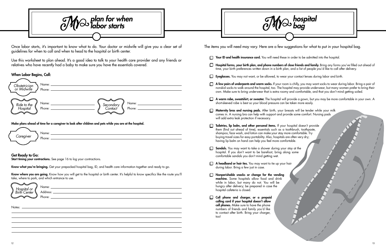Once labor starts, it's important to know what to do. Your doctor or midwife will give you a clear set of guidelines for when to call and when to head to the hospital or birth center.

Use this worksheet to plan ahead. It's a good idea to talk to your health care provider and any friends or relatives who have recently had a baby to make sure you have the essentials covered.

#### When Labor Begins, Call:

Know where you are going. Know how you will get to the hospital or birth center. It's helpful to know specifics like the route you'll take, where to park, and which entrance to use.

Make plans ahead of time for a caregiver to look after children and pets while you are at the hospital.



#### Get Ready to Go:

Start timing your contractions. See page 16 to log your contractions.

Know what you're bringing. Get your prepacked hospital bag, ID, and health care information together and ready to go.

Hospital forms, your birth plan, and phone numbers of close friends and family. Bring any forms you've filled out ahead of time, your birth preferences written down in a birth plan, and a list of people you'd like to call after delivery.

 $\Box$  A few pairs of underpants and warm socks. If your room is chilly, you may want socks to wear during labor. Bring a pair of nonskid socks to walk around the hospital, too. The hospital may provide underwear, but many women prefer to bring their own. Make sure to bring underwear that is extra roomy and comfortable, and that you don't mind getting soiled.

 $\Box$  A warm robe, sweatshirt, or sweater. The hospital will provide a gown, but you may be more comfortable in your own. A



# *bag*

- Your ID and health insurance card. You will need these in order to be admitted into the hospital.
- 
- Eyeglasses. You may not want, or be allowed, to wear your contact lenses during labor and birth.
- 
- short-sleeved robe is best so your blood pressure can be taken more easily.
- **Maternity bras and nursing pads.** After birth, your breasts will be tender while your milk comes in. A nursing bra can help with support and provide some comfort. Nursing pads will add extra leak protection if necessary.
- Toiletries, lip balm, and other personal items. If your hospital doesn't provide them (find out ahead of time), essentials such as a toothbrush, toothpaste, shampoo, face wash, and lotion can make your stay more comfortable. Try buying travel sizes for easy portability. Also, hospitals are often very dry; having lip balm on hand can help you feel more comfortable.
- Sandals. You may want to take a shower during your stay at the  $\Box$ hospital. If you don't want to be barefoot, bring along some comfortable sandals you don't mind getting wet.
- A headband or hair ties. You may want to tie up your hair during labor. Bring a few just in case.
- Nonperishable snacks or change for the vending machine. Some hospitals allow food and drink while in labor, but many do not. You will be hungry after delivery; be prepared in case the hospital cafeteria is closed.
- $\Box$ Cell phone and charger, or a prepaid calling card if your hospital doesn't allow cell phones. Make sure to have the phone numbers of friends and family you'd like to contact after birth. Bring your charger, too!

| Name:<br>Obstetrician<br>or Midwife<br>Phone: |                                   |                 |
|-----------------------------------------------|-----------------------------------|-----------------|
| Name:<br>Ride to the<br>Hospital<br>Phone:    | Secondary<br>Contact <sup>®</sup> | Name:<br>Phone: |

| Hospital or<br>Birth Center | Name:<br>Address: |
|-----------------------------|-------------------|
|                             | Phone:            |

Notes: \_\_\_\_

The items you will need may vary. Here are a few suggestions for what to put in your hospital bag.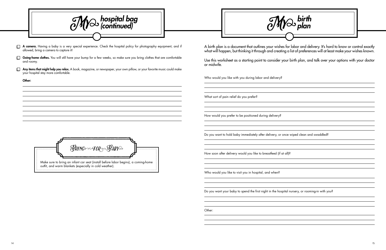A birth plan is a document that outlines your wishes for labor and delivery. It's hard to know or control exactly what will happen, but thinking it through and creating a list of preferences will at least make your wishes known.

Use this worksheet as a starting point to consider your birth plan, and talk over your options with your doctor or midwife.

Who would you like with you during labor and delivery?

What sort of pain relief do you prefer?

How would you prefer to be positioned during delivery?

Do you want to hold baby immediately after delivery, or once wiped clean and swaddled?

How soon after delivery would you like to breastfeed (if at all)?

Make sure to bring an infant car seat (install before labor begins), a coming-home outfit, and warm blankets (especially in cold weather). BRING FOR BABY

Who would you like to visit you in hospital, and when?

Do you want your baby to spend the first night in the hospital nursery, or rooming-in with you?

Other:

My*birth plan*

|        | hospital bag<br><sup>5</sup> (continued)                                                                                                                        |  |  |  |
|--------|-----------------------------------------------------------------------------------------------------------------------------------------------------------------|--|--|--|
|        | A camera. Having a baby is a very special experience. Check the hospital policy for photography equipment, and if<br>allowed, bring a camera to capture it!     |  |  |  |
|        | Going-home clothes. You will still have your bump for a few weeks, so make sure you bring clothes that are comfortable<br>and roomy.                            |  |  |  |
| $\Box$ | Any items that might help you relax. A book, magazine, or newspaper, your own pillow, or your favorite music could make<br>your hospital stay more comfortable. |  |  |  |
|        | Other:                                                                                                                                                          |  |  |  |
|        |                                                                                                                                                                 |  |  |  |
|        |                                                                                                                                                                 |  |  |  |
|        |                                                                                                                                                                 |  |  |  |
|        |                                                                                                                                                                 |  |  |  |
|        |                                                                                                                                                                 |  |  |  |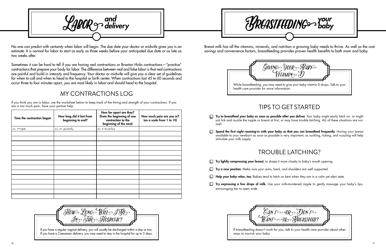No one can predict with certainty when labor will begin. The due date your doctor or midwife gives you is an estimate. It is normal for labor to start as early as three weeks before your anticipated due date or as late as two weeks after.

Sometimes it can be hard to tell if you are having real contractions or Braxton Hicks contractions—"practice" contractions that prepare your body for labor. The difference between real and false labor is that real contractions are painful and build in intensity and frequency. Your doctor or midwife will give you a clear set of guidelines for when to call and when to head to the hospital or birth center. When contractions last 45 to 60 seconds and occur three to four minutes apart, you are most likely in labor and should head to the hospital.

# My Contractions Log

If you think you are in labor, use the worksheet below to keep track of the timing and strength of your contractions. If you are in too much pain, have your partner help.

> Try to breastfeed your baby as soon as possible after you deliver. Your baby might easily latch on, or might just lick and nuzzle the nipple or breast at first, or may have trouble latching. ALL of these situations are nor-

Spend the first night rooming-in with your baby so that you can breastfeed frequently. Having your breast available to your newborn as soon as possible is very important, as suckling, licking, and nuzzling will help

| Time the contraction began | How long did it last from<br>beginning to end? | How far apart are they?<br>(from the beginning of one<br>contraction to the<br>beginning of the next) | How much pain are you in?<br>(on a scale from 1 to 10) |
|----------------------------|------------------------------------------------|-------------------------------------------------------------------------------------------------------|--------------------------------------------------------|
| ex. 11:15 pm               | ex. 65 seconds                                 | ex. 6 minutes                                                                                         |                                                        |
|                            |                                                |                                                                                                       |                                                        |
|                            |                                                |                                                                                                       |                                                        |
|                            |                                                |                                                                                                       |                                                        |
|                            |                                                |                                                                                                       |                                                        |
|                            |                                                |                                                                                                       |                                                        |
|                            |                                                |                                                                                                       |                                                        |
|                            |                                                |                                                                                                       |                                                        |
|                            |                                                |                                                                                                       |                                                        |
|                            |                                                |                                                                                                       |                                                        |
|                            |                                                |                                                                                                       |                                                        |
|                            |                                                |                                                                                                       |                                                        |
|                            |                                                |                                                                                                       |                                                        |
|                            |                                                |                                                                                                       |                                                        |
|                            |                                                |                                                                                                       |                                                        |



- $\Box$  Try lightly compressing your breast, to shape it more closely to baby's mouth opening.
- $\Box$  Try a new position. Make sure your arms, back, and shoulders are well supported.
- $\Box$  Help your baby relax, too. Babies tend to latch on best when they are in a calm yet alert state.
- encouraging her to open wide.



If you have a Caesarean delivery, you may need to stay in the hospital for up to 5 days.



Breast milk has all the vitamins, minerals, and nutrition a growing baby needs to thrive. As well as the cost savings and convenience factors, breastfeeding provides proven health benefits to both mom and baby.

# Tips to get started

- mal!
- $\Box$ stimulate your milk supply.

# Trouble latching?

 $\Box$  Try expressing a few drops of milk. Use your milk-moistened nipple to gently massage your baby's lips,



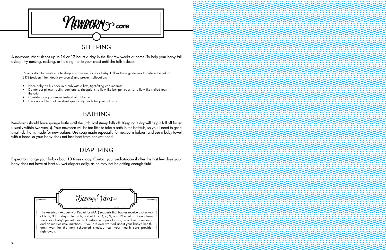



A newborn infant sleeps up to 16 or 17 hours a day in the first few weeks at home. To help your baby fall asleep, try nursing, rocking, or holding her to your chest until she falls asleep.

It's important to create a safe sleep environment for your baby. Follow these guidelines to reduce the risk of SIDS (sudden infant death syndrome) and prevent suffocation:

- Place baby on his back in a crib with a firm, tight-fitting crib mattress.
- • Do not put pillows, quilts, comforters, sheepskins, pillow-like bumper pads, or pillow-like stuffed toys in the crib.
- • Consider using a sleeper instead of a blanket.
- Use only a fitted bottom sheet specifically made for your crib size.

## **BATHING**

Newborns should have sponge baths until the umbilical stump falls off. Keeping it dry will help it fall off faster (usually within two weeks). Your newborn will be too little to take a bath in the bathtub, so you'll need to get a small tub that is made for new babies. Use soap made especially for newborn babies, and use a baby towel with a hood so your baby does not lose heat from her wet head.

## **DIAPERING**

Expect to change your baby about 10 times a day. Contact your pediatrician if after the first few days your baby does not have at least six wet diapers daily, as he may not be getting enough fluid.



visits, your baby's pediatrician will perform a physical exam, record measurements, and administer immunizations. If you are ever worried about your baby's health, don't wait for the next scheduled checkup—call your health care provider right away.